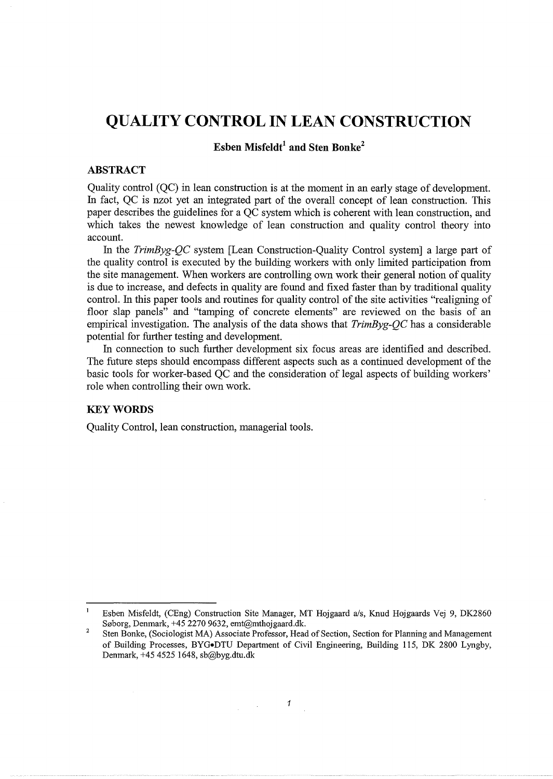# **QUALITY CONTROL IN LEAN CONSTRUCTION**

# **Esben Misfeldt**<sup>1</sup> and Sten Bonke<sup>2</sup>

# **ABSTRACT**

Quality control (QC) in lean construction is at the moment in an early stage of development. In fact, QC is nzot yet an integrated part of the overall concept of lean construction. This paper describes the guidelines for a QC system which is coherent with lean construction, and which takes the newest knowledge of lean construction and quality control theory into account.

In the *TrimByg-QC* system [Lean Construction-Quality Control system] a large part of the quality control is executed by the building workers with only limited participation from the site management. When workers are controlling own work their general notion of quality is due to increase, and defects in quality are found and fixed faster than by traditional quality control. In this paper tools and routines for quality control of the site activities "realigning of floor slap panels" and "tamping of concrete elements" are reviewed on the basis of an empirical investigation. The analysis of the data shows that *TrimByg-QC* has a considerable potential for further testing and development.

In connection to such further development six focus areas are identified and described. The future steps should encompass different aspects such as a continued development of the basic tools for worker-based QC and the consideration of legal aspects of building workers' role when controlling their own work.

# **KEYWORDS**

Quality Control, lean construction, managerial tools.

 $\mathbf{1}$ Esben Misfeldt, (CEng) Construction Site Manager, MT Hojgaard a/s, Knud Hojgaards Vej 9, DK2860 Søborg, Denmark, +45 2270 9632, emt@mthojgaard.dk.

<sup>2</sup>  Sten Bonke, (Sociologist MA) Associate Professor, Head of Section, Section for Planning and Management of Building Processes, BYG•DTU Department of Civil Engineering, Building 115, DK 2800 Lyngby, Denmark, +45 4525 1648, sb@byg.dtu.dk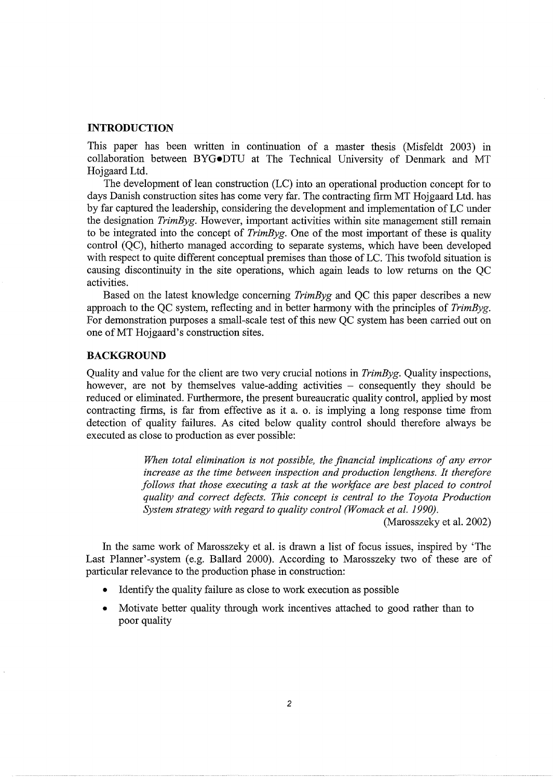# **INTRODUCTION**

This paper has been written in continuation of a master thesis (Misfeldt 2003) in collaboration between BYG•DTU at The Technical University of Denmark and MT Hojgaard Ltd.

The development of lean construction (LC) into an operational production concept for to days Danish construction sites has come very far. The contracting firm MT Hojgaard Ltd. has by far captured the leadership, considering the development and implementation of LC under the designation *TrimByg.* However, important activities within site management still remain to be integrated into the concept of *TrimByg.* One of the most important of these is quality control (QC), hitherto managed according to separate systems, which have been developed with respect to quite different conceptual premises than those of LC. This twofold situation is causing discontinuity in the site operations, which again leads to low returns on the QC activities.

Based on the latest knowledge concerning *TrimByg* and QC this paper describes a new approach to the QC system, reflecting and in better harmony with the principles of *TrimByg.*  For demonstration purposes a small-scale test of this new QC system has been carried out on one ofMT Hojgaard's construction sites.

# **BACKGROUND**

Quality and value for the client are two very crucial notions in *TrimByg.* Quality inspections, however, are not by themselves value-adding activities  $-$  consequently they should be reduced or eliminated. Furthermore, the present bureaucratic quality control, applied by most contracting firms, is far from effective as it a. o. is implying a long response time from detection of quality failures. As cited below quality control should therefore always be executed as close to production as ever possible:

> *When total elimination is not possible, the financial implications of any error increase as the time between inspection and production lengthens. It therefore follows that those executing a task at the workface are best placed to control quality and correct defects. This concept is central to the Toyota Production*  System strategy with regard to quality control (Womack et al. 1990).

> > (Marosszeky et al. 2002)

In the same work of Marosszeky et al. is drawn a list of focus issues, inspired by 'The Last Planner'-system (e.g. Ballard 2000). According to Marosszeky two of these are of particular relevance to the production phase in construction:

- Identify the quality failure as close to work execution as possible
- Motivate better quality through work incentives attached to good rather than to poor quality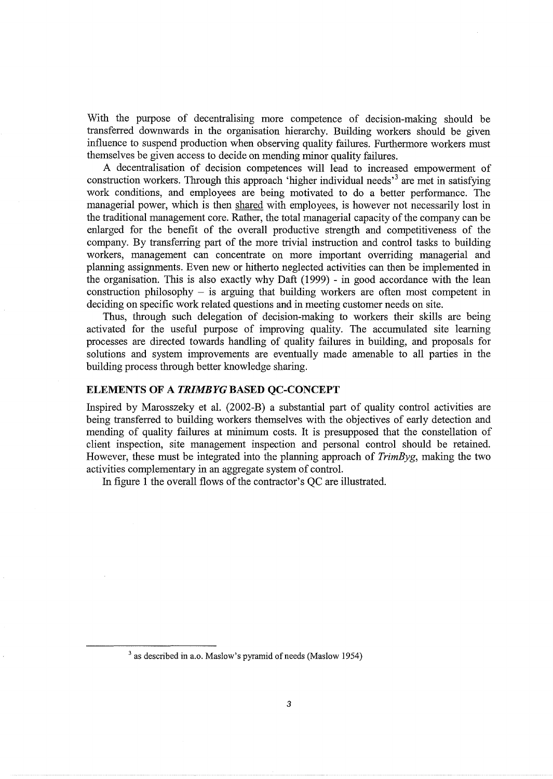With the purpose of decentralising more competence of decision-making should be transferred downwards in the organisation hierarchy. Building workers should be given influence to suspend production when observing quality failures. Furthermore workers must themselves be given access to decide on mending minor quality failures.

A decentralisation of decision competences will lead to increased empowerment of construction workers. Through this approach 'higher individual needs'<sup>3</sup> are met in satisfying work conditions, and employees are being motivated to do a better performance. The managerial power, which is then shared with employees, is however not necessarily lost in the traditional management core. Rather, the total managerial capacity of the company can be enlarged for the benefit of the overall productive strength and competitiveness of the company. By transferring part of the more trivial instruction and control tasks to building workers, management can concentrate on more important overriding managerial and planning assignments. Even new or hitherto neglected activities can then be implemented in the organisation. This is also exactly why Daft (1999) - in good accordance with the lean construction philosophy  $-$  is arguing that building workers are often most competent in deciding on specific work related questions and in meeting customer needs on site.

Thus, through such delegation of decision-making to workers their skills are being activated for the useful purpose of improving quality. The accumulated site learning processes are directed towards handling of quality failures in building, and proposals for solutions and system improvements are eventually made amenable to all parties in the building process through better knowledge sharing.

# **ELEMENTS OF A** *TRIMBYG* **BASED QC-CONCEPT**

Inspired by Marosszeky et al. (2002-B) a substantial part of quality control activities are being transferred to building workers themselves with the objectives of early detection and mending of quality failures at minimum costs. It is presupposed that the constellation of client inspection, site management inspection and personal control should be retained. However, these must be integrated into the planning approach of *TrimByg,* making the two activities complementary in an aggregate system of control.

In figure 1 the overall flows of the contractor's QC are illustrated.

<sup>&</sup>lt;sup>3</sup> as described in a.o. Maslow's pyramid of needs (Maslow 1954)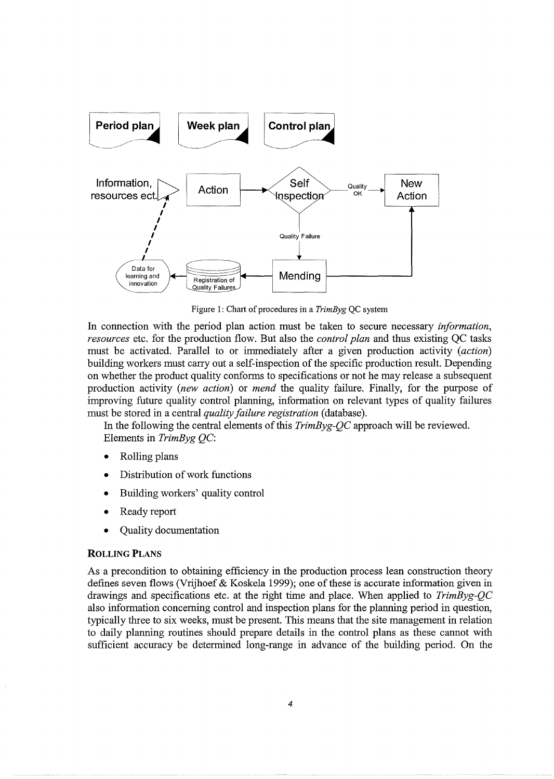

Figure 1: Chart of procedures in a *TrimByg* QC system

In connection with the period plan action must be taken to secure necessary *information, resources* etc. for the production flow. But also the *control plan* and thus existing QC tasks must be activated. Parallel to or immediately after a given production activity *(action)*  building workers must carry out a self-inspection of the specific production result. Depending on whether the product quality conforms to specifications or not he may release a subsequent production activity *(new action)* or *mend* the quality failure. Finally, for the purpose of improving future quality control planning, information on relevant types of quality failures must be stored in a central *quality failure registration* (database).

In the following the central elements of this *TrimByg-QC* approach will be reviewed. Elements in *TrimByg* QC:

- Rolling plans
- Distribution of work functions
- Building workers' quality control
- Ready report
- Quality documentation

# ROLLING PLANS

As a precondition to obtaining efficiency in the production process lean construction theory defines seven flows (Vrijhoef & Koskela 1999); one of these is accurate information given in drawings and specifications etc. at the right time and place. When applied to *TrimByg-QC*  also information concerning control and inspection plans for the planning period in question, typically three to six weeks, must be present. This means that the site management in relation to daily planning routines should prepare details in the control plans as these cannot with sufficient accuracy be determined long-range in advance of the building period. On the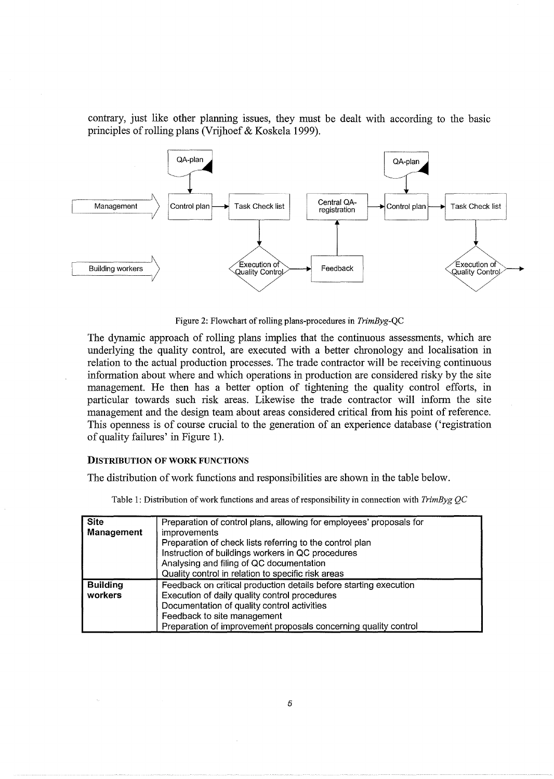contrary, just like other planning issues, they must be dealt with according to the basic principles of rolling plans (Vrijhoef & Koskela 1999).



Figure 2: Flowchart of rolling plans-procedures in *TrimByg-QC* 

The dynamic approach of rolling plans implies that the continuous assessments, which are underlying the quality control, are executed with a better chronology and localisation in relation to the actual production processes. The trade contractor will be receiving continuous information about where and which operations in production are considered risky by the site management. He then has a better option of tightening the quality control efforts, in particular towards such risk areas. Likewise the trade contractor will inform the site management and the design team about areas considered critical from his point of reference. This openness is of course crucial to the generation of an experience database ('registration of quality failures' in Figure 1).

### DISTRIBUTION OF WORK FUNCTIONS

 $\ddot{\phantom{a}}$ 

The distribution of work functions and responsibilities are shown in the table below.

Table 1: Distribution of work functions and areas of responsibility in connection with *TrimByg QC* 

| <b>Site</b><br>Management  | Preparation of control plans, allowing for employees' proposals for<br><i>improvements</i><br>Preparation of check lists referring to the control plan<br>Instruction of buildings workers in QC procedures<br>Analysing and filing of QC documentation<br>Quality control in relation to specific risk areas |
|----------------------------|---------------------------------------------------------------------------------------------------------------------------------------------------------------------------------------------------------------------------------------------------------------------------------------------------------------|
| <b>Building</b><br>workers | Feedback on critical production details before starting execution<br>Execution of daily quality control procedures<br>Documentation of quality control activities<br>Feedback to site management<br>Preparation of improvement proposals concerning quality control                                           |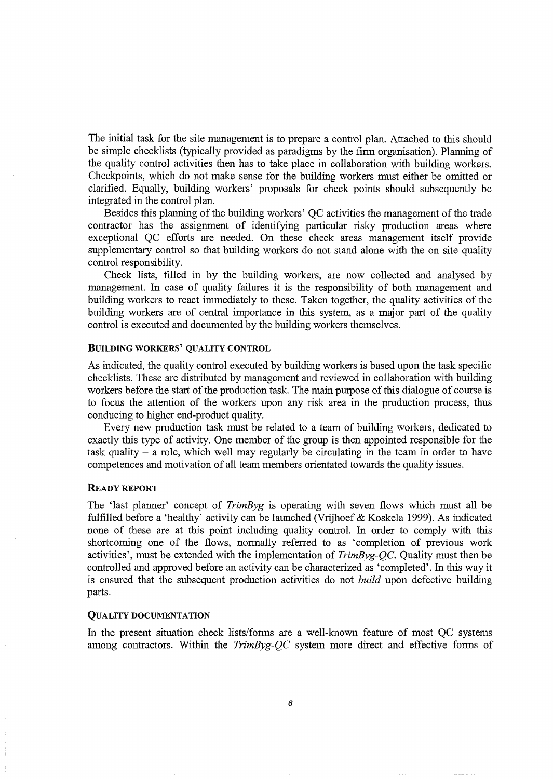The initial task for the site management is to prepare a control plan. Attached to this should be simple checklists (typically provided as paradigms by the firm organisation). Planning of the quality control activities then has to take place in collaboration with building workers. Checkpoints, which do not make sense for the building workers must either be omitted or clarified. Equally, building workers' proposals for check points should subsequently be integrated in the control plan.

Besides this planning of the building workers' QC activities the management of the trade contractor has the assignment of identifying particular risky production areas where exceptional QC efforts are needed. On these check areas management itself provide supplementary control so that building workers do not stand alone with the on site quality control responsibility.

Check lists, filled in by the building workers, are now collected and analysed by management. In case of quality failures it is the responsibility of both management and building workers to react immediately to these. Taken together, the quality activities of the building workers are of central importance in this system, as a major part of the quality control is executed and documented by the building workers themselves.

### BUILDING WORKERS' QUALITY CONTROL

As indicated, the quality control executed by building workers is based upon the task specific checklists. These are distributed by management and reviewed in collaboration with building workers before the start of the production task. The main purpose of this dialogue of course is to focus the attention of the workers upon any risk area in the production process, thus conducing to higher end-product quality.

Every new production task must be related to a team of building workers, dedicated to exactly this type of activity. One member of the group is then appointed responsible for the task quality - a role, which well may regularly be circulating in the team in order to have competences and motivation of all team members orientated towards the quality issues.

### READY REPORT

The 'last planner' concept of *TrimByg* is operating with seven flows which must all be fulfilled before a 'healthy' activity can be launched (Vrijhoef & Koskela 1999). As indicated none of these are at this point including quality control. In order to comply with this shortcoming one of the flows, normally referred to as 'completion of previous work activities', must be extended with the implementation of *TrimByg-QC.* Quality must then be controlled and approved before an activity can be characterized as 'completed'. In this way it is ensured that the subsequent production activities do not *build* upon defective building parts.

### QUALITY DOCUMENTATION

In the present situation check lists/forms are a well-known feature of most QC systems among contractors. Within the *TrimByg-QC* system more direct and effective forms of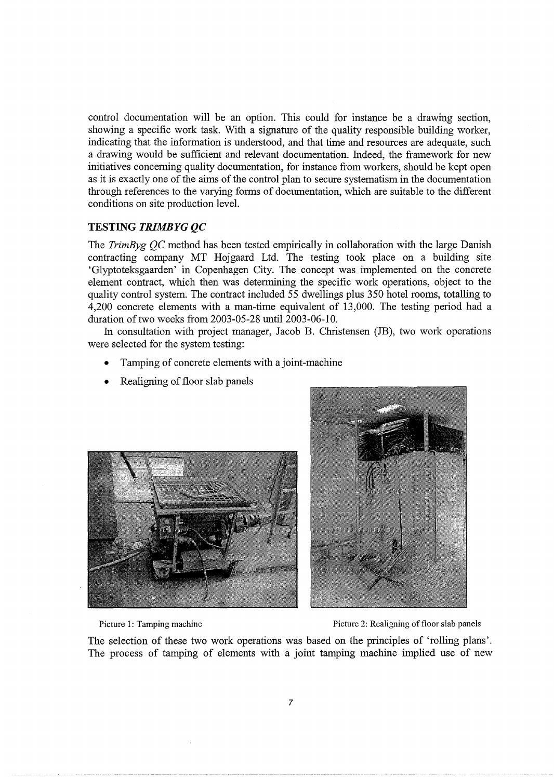control documentation will be an option. This could for instance be a drawing section, showing a specific work task. With a signature of the quality responsible building worker, indicating that the information is understood, and that time and resources are adequate, such a drawing would be sufficient and relevant documentation. Indeed, the framework for new initiatives concerning quality documentation, for instance from workers, should be kept open as it is exactly one of the aims of the control plan to secure systematism in the documentation through references to the varying forms of documentation, which are suitable to the different conditions on site production level.

# **TESTING** *TRIMBYG QC*

The *TrimByg QC* method has been tested empirically in collaboration with the large Danish contracting company MT Hojgaard Ltd. The testing took place on a building site 'Glyptoteksgaarden' in Copenhagen City. The concept was implemented on the concrete element contract, which then was determining the specific work operations, object to the quality control system. The contract included 55 dwellings plus 350 hotel rooms, totalling to 4,200 concrete elements with a man-time equivalent of 13,000. The testing period had a duration of two weeks from 2003-05-28 until 2003-06-10.

In consultation with project manager, Jacob B. Christensen (JB), two work operations were selected for the system testing:

- Tamping of concrete elements with a joint-machine
- Realigning of floor slab panels





Picture 1: Tamping machine **Picture 1: Tamping machine** Picture 2: Realigning of floor slab panels

The selection of these two work operations was based on the principles of 'rolling plans'. The process of tamping of elements with a joint tamping machine implied use of new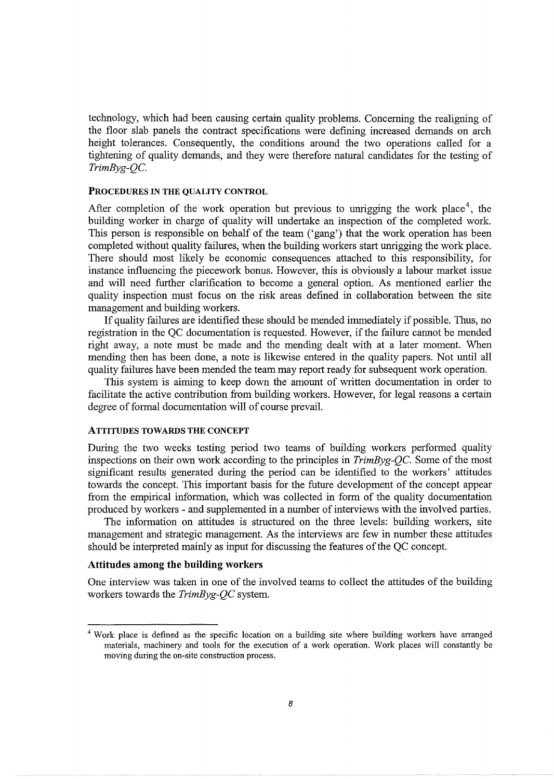technology, which had been causing certain quality problems. Concerning the realigning of the floor slab panels the contract specifications were defining increased demands on arch height tolerances. Consequently, the conditions around the two operations called for a tightening of quality demands, and they were therefore natural candidates for the testing of *TrimByg-QC.* 

### **PROCEDURES IN THE QUALITY CONTROL**

After completion of the work operation but previous to unrigging the work place<sup>4</sup>, the building worker in charge of quality will undertake an inspection of the completed work. This person is responsible on behalf of the team ('gang') that the work operation has been completed without quality failures, when the building workers start unrigging the work place. There should most likely be economic consequences attached to this responsibility, for instance influencing the piecework bonus. However, this is obviously a labour market issue and will need further clarification to become a general option. As mentioned earlier the quality inspection must focus on the risk areas defined in collaboration between the site management and building workers.

If quality failures are identified these should be mended immediately if possible. Thus, no registration in the QC documentation is requested. However, if the failure cannot be mended right away, a note must be made and the mending dealt with at a later moment. When mending then has been done, a note is likewise entered in the quality papers. Not until all quality failures have been mended the team may report ready for subsequent work operation.

This system is aiming to keep down the amount of written documentation in order to facilitate the active contribution from building workers. However, for legal reasons a certain degree of formal documentation will of course prevail.

# **ATTITUDES TOWARDS THE CONCEPT**

During the two weeks testing period two teams of building workers performed quality inspections on their own work according to the principles in *TrimByg-QC.* Some of the most significant results generated during the period can be identified to the workers' attitudes towards the concept. This important basis for the future development of the concept appear from the empirical information, which was collected in form of the quality documentation produced by workers - and supplemented in a number of interviews with the involved parties.

The information on attitudes is structured on the three levels: building workers, site management and strategic management. As the interviews are few in number these attitudes should be interpreted mainly as input for discussing the features of the QC concept.

# **Attitudes among the building workers**

One interview was taken in one of the involved teams to collect the attitudes of the building workers towards the *TrimByg-QC* system.

<sup>4</sup> Work place is defined as the specific location on a building site where building workers have arranged materials, machinery and tools for the execution of a work operation. Work places will constantly be moving during the on-site construction process.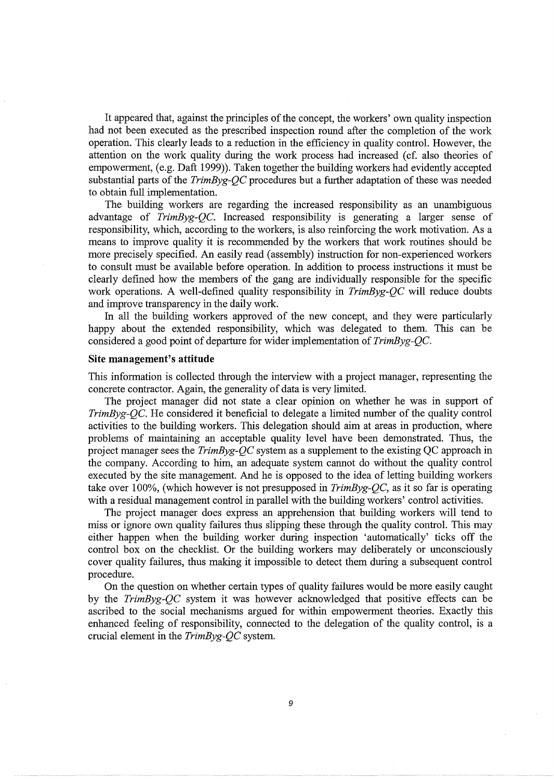It appeared that, against the principles of the concept, the workers' own quality inspection had not been executed as the prescribed inspection round after the completion of the work operation. This clearly leads to a reduction in the efficiency in quality control. However, the attention on the work quality during the work process had increased (cf. also theories of empowerment, (e.g. Daft 1999)). Taken together the building workers had evidently accepted substantial parts of the *TrimByg-QC* procedures but a further adaptation of these was needed to obtain full implementation.

The building workers are regarding the increased responsibility as an unambiguous advantage of *TrimByg-QC.* Increased responsibility is generating a larger sense of responsibility, which, according to the workers, is also reinforcing the work motivation. As a means to improve quality it is recommended by the workers that work routines should be more precisely specified. An easily read (assembly) instruction for non-experienced workers to consult must be available before operation. In addition to process instructions it must be clearly defined how the members of the gang are individually responsible for the specific work operations. A well-defined quality responsibility in *TrimByg-QC* will reduce doubts and improve transparency in the daily work.

In all the building workers approved of the new concept, and they were particularly happy about the extended responsibility, which was delegated to them. This can be considered a good point of departure for wider implementation of *TrimByg-QC.* 

### **Site management's attitude**

This information is collected through the interview with a project manager, representing the concrete contractor. Again, the generality of data is very limited.

The project manager did not state a clear opinion on whether he was in support of *TrimByg-QC.* He considered it beneficial to delegate a limited number of the quality control activities to the building workers. This delegation should aim at areas in production, where problems of maintaining an acceptable quality level have been demonstrated. Thus, the project manager sees the *TrimByg-QC* system as a supplement to the existing QC approach in the company. According to him, an adequate system cannot do without the quality control executed by the site management. And he is opposed to the idea of letting building workers take over 100%, (which however is not presupposed in *TrimByg-QC,* as it so far is operating with a residual management control in parallel with the building workers' control activities.

The project manager does express an apprehension that building workers will tend to miss or ignore own quality failures thus slipping these through the quality control. This may either happen when the building worker during inspection 'automatically' ticks off the control box on the checklist. Or the building workers may deliberately or unconsciously cover quality failures, thus making it impossible to detect them during a subsequent control procedure.

On the question on whether certain types of quality failures would be more easily caught by the *TrimByg-QC* system it was however acknowledged that positive effects can be ascribed to the social mechanisms argued for within empowerment theories. Exactly this enhanced feeling of responsibility, connected to the delegation of the quality control, is a crucial element in the *TrimByg-QC* system.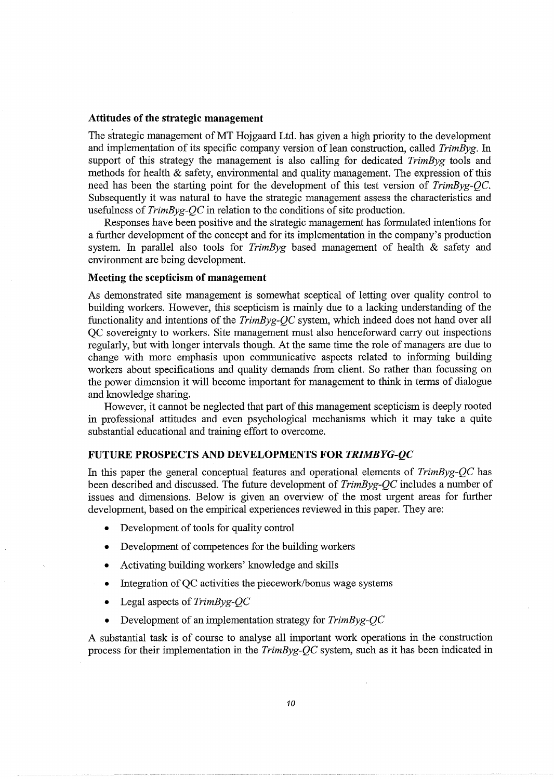### **Attitudes of the strategic management**

The strategic management of MT Hojgaard Ltd. has given a high priority to the development and implementation of its specific company version of lean construction, called *TrimByg.* In support of this strategy the management is also calling for dedicated *TrimByg* tools and methods for health & safety, environmental and quality management. The expression of this need has been the starting point for the development of this test version of *TrimByg-QC.*  Subsequently it was natural to have the strategic management assess the characteristics and usefulness of *TrimByg-QC* in relation to the conditions of site production.

Responses have been positive and the strategic management has formulated intentions for a further development of the concept and for its implementation in the company's production system. In parallel also tools for *TrimByg* based management of health & safety and environment are being development.

# **Meeting the scepticism of management**

As demonstrated site management is somewhat sceptical of letting over quality control to building workers. However, this scepticism is mainly due to a lacking understanding of the functionality and intentions of the *TrimByg-QC* system, which indeed does not hand over all QC sovereignty to workers. Site management must also henceforward carry out inspections regularly, but with longer intervals though. At the same time the role of managers are due to change with more emphasis upon communicative aspects related to informing building workers about specifications and quality demands from client. So rather than focussing on the power dimension it will become important for management to think in terms of dialogue and knowledge sharing.

However, it cannot be neglected that part of this management scepticism is deeply rooted in professional attitudes and even psychological mechanisms which it may take a quite substantial educational and training effort to overcome.

# **FUTURE PROSPECTS AND DEVELOPMENTS FOR** *TRIMBYG-QC*

In this paper the general conceptual features and operational elements of *TrimByg-QC* has been described and discussed. The future development of *TrimByg-QC* includes a number of issues and dimensions. Below is given an overview of the most urgent areas for further development, based on the empirical experiences reviewed in this paper. They are:

- Development of tools for quality control
- Development of competences for the building workers
- Activating building workers' knowledge and skills
- Integration of QC activities the piecework/bonus wage systems
- Legal aspects of *TrimByg-QC*
- Development of an implementation strategy for *TrimByg-QC*

A substantial task is of course to analyse all important work operations in the construction process for their implementation in the *TrimByg-QC* system, such as it has been indicated in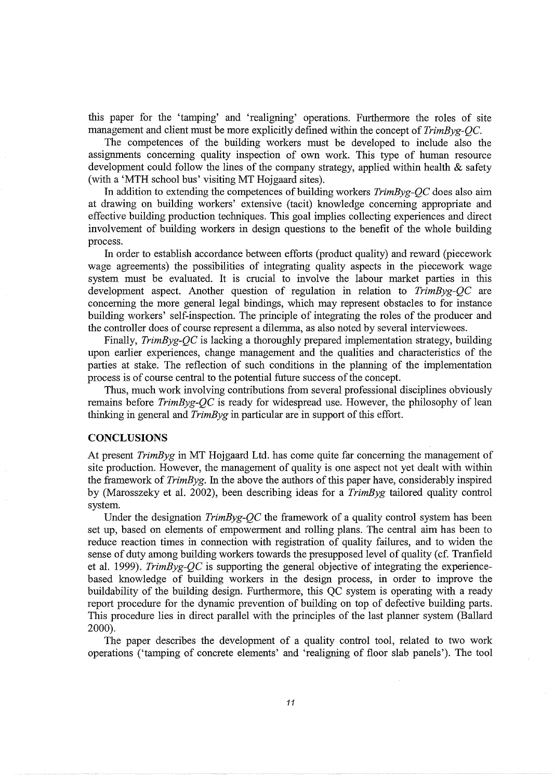this paper for the 'tamping' and 'realigning' operations. Furthermore the roles of site management and client must be more explicitly defined within the concept of *TrimByg-QC.* 

The competences of the building workers must be developed to include also the assignments concerning quality inspection of own work. This type of human resource development could follow the lines of the company strategy, applied within health & safety (with a 'MTH school bus' visiting MT Hojgaard sites).

In addition to extending the competences of building workers *TrimByg-QC* does also aim at drawing on building workers' extensive (tacit) knowledge concerning appropriate and effective building production techniques. This goal implies collecting experiences and direct involvement of building workers in design questions to the benefit of the whole building process.

In order to establish accordance between efforts (product quality) and reward (piecework wage agreements) the possibilities of integrating quality aspects in the piecework wage system must be evaluated. It is crucial to involve the labour market parties in this development aspect. Another question of regulation in relation to *TrimByg-QC* are concerning the more general legal bindings, which may represent obstacles to for instance building workers' self-inspection. The principle of integrating the roles of the producer and the controller does of course represent a dilemma, as also noted by several interviewees.

Finally, *TrimByg-QC* is lacking a thoroughly prepared implementation strategy, building upon earlier experiences, change management and the qualities and characteristics of the parties at stake. The reflection of such conditions in the planning of the implementation process is of course central to the potential future success of the concept.

Thus, much work involving contributions from several professional disciplines obviously remains before *TrimByg-QC* is ready for widespread use. However, the philosophy of lean thinking in general and *TrimByg* in particular are in support of this effort.

### **CONCLUSIONS**

At present *TrimByg* in MT Hojgaard Ltd. has come quite far concerning the management of site production. However, the management of quality is one aspect not yet dealt with within the framework of *TrimByg.* In the above the authors of this paper have, considerably inspired by (Marosszeky et al. 2002), been describing ideas for a *TrimByg* tailored quality control system.

Under the designation *TrimByg-QC* the framework of a quality control system has been set up, based on elements of empowerment and rolling plans. The central aim has been to reduce reaction times in connection with registration of quality failures, and to widen the sense of duty among building workers towards the presupposed level of quality ( cf. Tranfield et al. 1999). *TrimByg-QC* is supporting the general objective of integrating the experiencebased knowledge of building workers in the design process, in order to improve the buildability of the building design. Furthermore, this QC system is operating with a ready report procedure for the dynamic prevention of building on top of defective building parts. This procedure lies in direct parallel with the principles of the last planner system (Ballard 2000).

The paper describes the development of a quality control tool, related to two work operations ('tamping of concrete elements' and 'realigning of floor slab panels'). The tool